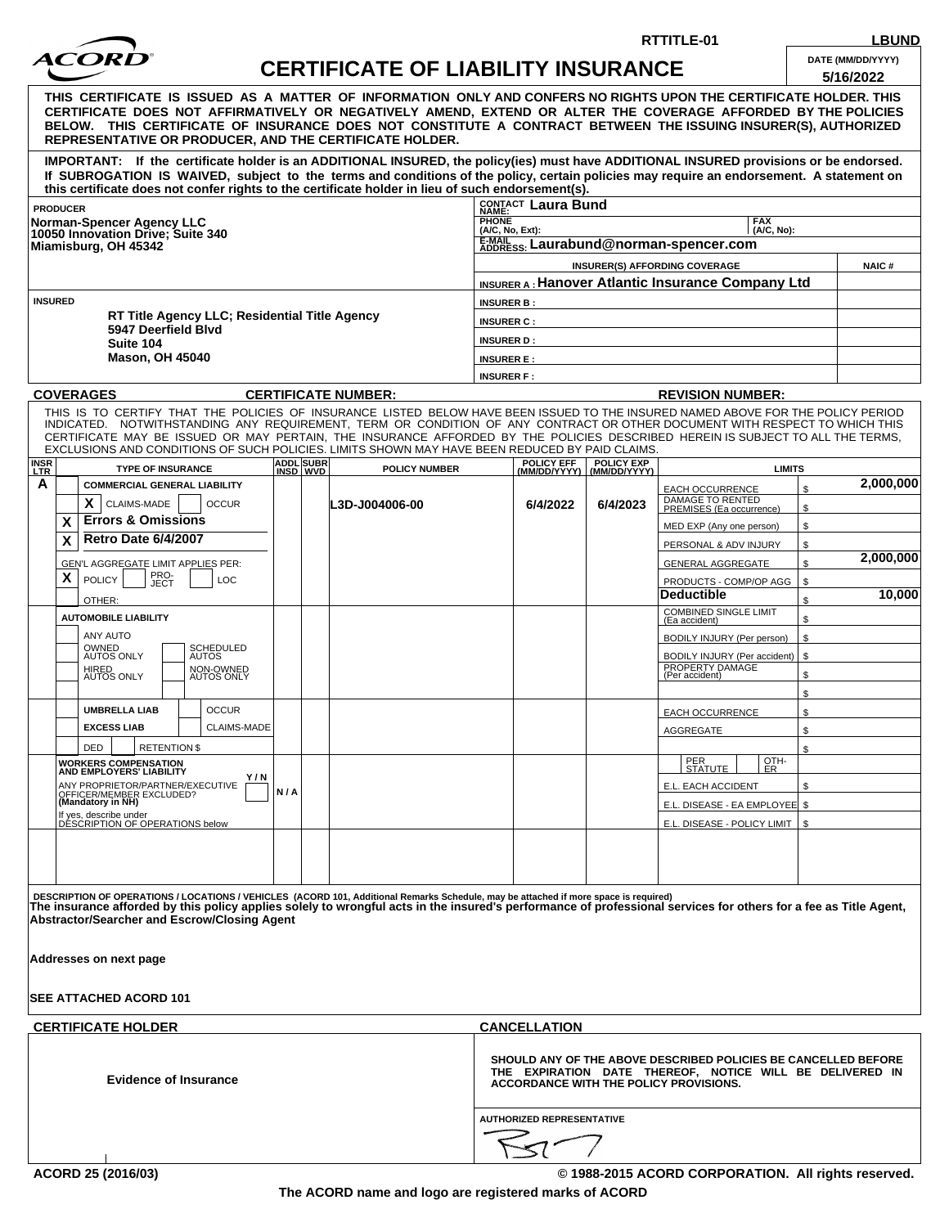

## **CERTIFICATE OF LIABILITY INSURANCE DATE (MM/DD/YYYY)**

**RTTITLE-01 LBUND**

|                                                                                                                                                                                                                                                                                                                                                                                                                                 |                                                                                                                                                                                                                                                                                                                                                                                                                                                                                                                                |     |                       | 1981 L VI                  | LIADILI I I                                                                                                                                                          | <b>INUUINAIVU</b>                                  |                                                          | 5/16/2022       |  |
|---------------------------------------------------------------------------------------------------------------------------------------------------------------------------------------------------------------------------------------------------------------------------------------------------------------------------------------------------------------------------------------------------------------------------------|--------------------------------------------------------------------------------------------------------------------------------------------------------------------------------------------------------------------------------------------------------------------------------------------------------------------------------------------------------------------------------------------------------------------------------------------------------------------------------------------------------------------------------|-----|-----------------------|----------------------------|----------------------------------------------------------------------------------------------------------------------------------------------------------------------|----------------------------------------------------|----------------------------------------------------------|-----------------|--|
| THIS  CERTIFICATE  IS ISSUED  AS  A  MATTER  OF  INFORMATION  ONLY AND CONFERS NO RIGHTS UPON THE CERTIFICATE HOLDER. THIS<br>CERTIFICATE DOES NOT AFFIRMATIVELY OR NEGATIVELY AMEND, EXTEND OR ALTER THE COVERAGE AFFORDED BY THE POLICIES<br>BELOW. THIS CERTIFICATE OF INSURANCE DOES NOT CONSTITUTE A CONTRACT BETWEEN THE ISSUING INSURER(S), AUTHORIZED<br><b>REPRESENTATIVE OR PRODUCER, AND THE CERTIFICATE HOLDER.</b> |                                                                                                                                                                                                                                                                                                                                                                                                                                                                                                                                |     |                       |                            |                                                                                                                                                                      |                                                    |                                                          |                 |  |
|                                                                                                                                                                                                                                                                                                                                                                                                                                 | IMPORTANT: If the certificate holder is an ADDITIONAL INSURED, the policy(ies) must have ADDITIONAL INSURED provisions or be endorsed.<br>If SUBROGATION IS WAIVED, subject to the terms and conditions of the policy, certain policies may require an endorsement. A statement on<br>this certificate does not confer rights to the certificate holder in lieu of such endorsement(s).                                                                                                                                        |     |                       |                            |                                                                                                                                                                      |                                                    |                                                          |                 |  |
| <b>PRODUCER</b>                                                                                                                                                                                                                                                                                                                                                                                                                 |                                                                                                                                                                                                                                                                                                                                                                                                                                                                                                                                |     |                       | CONTACT Laura Bund         |                                                                                                                                                                      |                                                    |                                                          |                 |  |
| <b>Norman-Spencer Agency LLC</b><br>10050 Innovation Drive: Suite 340<br>Miamisburg, OH 45342                                                                                                                                                                                                                                                                                                                                   |                                                                                                                                                                                                                                                                                                                                                                                                                                                                                                                                |     |                       |                            | <b>PHONE</b><br><b>FAX</b><br>$(A/C, No)$ :<br>(A/C, No, Ext):                                                                                                       |                                                    |                                                          |                 |  |
|                                                                                                                                                                                                                                                                                                                                                                                                                                 |                                                                                                                                                                                                                                                                                                                                                                                                                                                                                                                                |     |                       |                            | E-MAIL<br>E-MAIL SS. Laurabund@norman-spencer.com                                                                                                                    |                                                    |                                                          |                 |  |
|                                                                                                                                                                                                                                                                                                                                                                                                                                 |                                                                                                                                                                                                                                                                                                                                                                                                                                                                                                                                |     |                       |                            |                                                                                                                                                                      |                                                    | <b>INSURER(S) AFFORDING COVERAGE</b>                     | <b>NAIC#</b>    |  |
|                                                                                                                                                                                                                                                                                                                                                                                                                                 |                                                                                                                                                                                                                                                                                                                                                                                                                                                                                                                                |     |                       |                            |                                                                                                                                                                      |                                                    | <b>INSURER A: Hanover Atlantic Insurance Company Ltd</b> |                 |  |
| <b>INSURED</b><br>RT Title Agency LLC; Residential Title Agency                                                                                                                                                                                                                                                                                                                                                                 |                                                                                                                                                                                                                                                                                                                                                                                                                                                                                                                                |     |                       |                            | <b>INSURER B:</b>                                                                                                                                                    |                                                    |                                                          |                 |  |
|                                                                                                                                                                                                                                                                                                                                                                                                                                 |                                                                                                                                                                                                                                                                                                                                                                                                                                                                                                                                |     |                       |                            | <b>INSURER C:</b>                                                                                                                                                    |                                                    |                                                          |                 |  |
|                                                                                                                                                                                                                                                                                                                                                                                                                                 | 5947 Deerfield Blvd<br>Suite 104                                                                                                                                                                                                                                                                                                                                                                                                                                                                                               |     |                       |                            | <b>INSURER D:</b>                                                                                                                                                    |                                                    |                                                          |                 |  |
|                                                                                                                                                                                                                                                                                                                                                                                                                                 | <b>Mason, OH 45040</b>                                                                                                                                                                                                                                                                                                                                                                                                                                                                                                         |     |                       |                            | <b>INSURER E:</b>                                                                                                                                                    |                                                    |                                                          |                 |  |
|                                                                                                                                                                                                                                                                                                                                                                                                                                 |                                                                                                                                                                                                                                                                                                                                                                                                                                                                                                                                |     |                       |                            | <b>INSURER F:</b>                                                                                                                                                    |                                                    |                                                          |                 |  |
| <b>COVERAGES</b>                                                                                                                                                                                                                                                                                                                                                                                                                |                                                                                                                                                                                                                                                                                                                                                                                                                                                                                                                                |     |                       | <b>CERTIFICATE NUMBER:</b> | <b>REVISION NUMBER:</b>                                                                                                                                              |                                                    |                                                          |                 |  |
| <b>INSR</b><br>LTR                                                                                                                                                                                                                                                                                                                                                                                                              | THIS IS TO CERTIFY THAT THE POLICIES OF INSURANCE LISTED BELOW HAVE BEEN ISSUED TO THE INSURED NAMED ABOVE FOR THE POLICY PERIOD<br>INDICATED. NOTWITHSTANDING ANY REQUIREMENT, TERM OR CONDITION OF ANY CONTRACT OR OTHER DOCUMENT WITH RESPECT TO WHICH THIS<br>CERTIFICATE MAY BE ISSUED OR MAY PERTAIN, THE INSURANCE AFFORDED BY THE POLICIES DESCRIBED HEREIN IS SUBJECT TO ALL THE TERMS,<br>EXCLUSIONS AND CONDITIONS OF SUCH POLICIES. LIMITS SHOWN MAY HAVE BEEN REDUCED BY PAID CLAIMS.<br><b>TYPE OF INSURANCE</b> |     | ADDL SUBR<br>INSD WVD | <b>POLICY NUMBER</b>       |                                                                                                                                                                      | POLICY EFF POLICY EXP<br>(MM/DD/YYYY) (MM/DD/YYYY) | <b>LIMITS</b>                                            |                 |  |
| A                                                                                                                                                                                                                                                                                                                                                                                                                               | <b>COMMERCIAL GENERAL LIABILITY</b>                                                                                                                                                                                                                                                                                                                                                                                                                                                                                            |     |                       |                            |                                                                                                                                                                      |                                                    | EACH OCCURRENCE                                          | 2,000,000<br>\$ |  |
|                                                                                                                                                                                                                                                                                                                                                                                                                                 | X.<br><b>CLAIMS-MADE</b><br><b>OCCUR</b>                                                                                                                                                                                                                                                                                                                                                                                                                                                                                       |     |                       | L3D-J004006-00             | 6/4/2022                                                                                                                                                             | 6/4/2023                                           | DAMAGE TO RENTED<br>PREMISES (Ea occurrence)             | \$              |  |
| X                                                                                                                                                                                                                                                                                                                                                                                                                               | <b>Errors &amp; Omissions</b>                                                                                                                                                                                                                                                                                                                                                                                                                                                                                                  |     |                       |                            |                                                                                                                                                                      |                                                    | MED EXP (Any one person)                                 | \$              |  |
| X                                                                                                                                                                                                                                                                                                                                                                                                                               | <b>Retro Date 6/4/2007</b>                                                                                                                                                                                                                                                                                                                                                                                                                                                                                                     |     |                       |                            |                                                                                                                                                                      |                                                    | PERSONAL & ADV INJURY                                    | \$              |  |
|                                                                                                                                                                                                                                                                                                                                                                                                                                 | GEN'L AGGREGATE LIMIT APPLIES PER:                                                                                                                                                                                                                                                                                                                                                                                                                                                                                             |     |                       |                            |                                                                                                                                                                      |                                                    | <b>GENERAL AGGREGATE</b>                                 | 2,000,000<br>\$ |  |
| X                                                                                                                                                                                                                                                                                                                                                                                                                               | PRO-<br>JECT<br><b>POLICY</b><br>LOC                                                                                                                                                                                                                                                                                                                                                                                                                                                                                           |     |                       |                            |                                                                                                                                                                      |                                                    | PRODUCTS - COMP/OP AGG                                   | \$              |  |
|                                                                                                                                                                                                                                                                                                                                                                                                                                 | OTHER:                                                                                                                                                                                                                                                                                                                                                                                                                                                                                                                         |     |                       |                            |                                                                                                                                                                      |                                                    | <b>Deductible</b>                                        | 10,000<br>\$    |  |
|                                                                                                                                                                                                                                                                                                                                                                                                                                 | <b>AUTOMOBILE LIABILITY</b>                                                                                                                                                                                                                                                                                                                                                                                                                                                                                                    |     |                       |                            |                                                                                                                                                                      |                                                    | <b>COMBINED SINGLE LIMIT</b><br>(Ea accident)            | \$              |  |
|                                                                                                                                                                                                                                                                                                                                                                                                                                 | ANY AUTO                                                                                                                                                                                                                                                                                                                                                                                                                                                                                                                       |     |                       |                            |                                                                                                                                                                      |                                                    | BODILY INJURY (Per person)                               | \$              |  |
|                                                                                                                                                                                                                                                                                                                                                                                                                                 | OWNED<br>AUTOS ONLY<br>SCHEDULED<br>AUTOS                                                                                                                                                                                                                                                                                                                                                                                                                                                                                      |     |                       |                            |                                                                                                                                                                      |                                                    | BODILY INJURY (Per accident)                             | \$              |  |
|                                                                                                                                                                                                                                                                                                                                                                                                                                 | HIRED<br>AUTOS ONLY<br>NON-OWNED<br>AUTOS ONLY                                                                                                                                                                                                                                                                                                                                                                                                                                                                                 |     |                       |                            |                                                                                                                                                                      |                                                    | PROPERTY DAMAGE<br>(Per accident)                        | \$              |  |
|                                                                                                                                                                                                                                                                                                                                                                                                                                 |                                                                                                                                                                                                                                                                                                                                                                                                                                                                                                                                |     |                       |                            |                                                                                                                                                                      |                                                    |                                                          | \$              |  |
|                                                                                                                                                                                                                                                                                                                                                                                                                                 | <b>OCCUR</b><br><b>UMBRELLA LIAB</b>                                                                                                                                                                                                                                                                                                                                                                                                                                                                                           |     |                       |                            |                                                                                                                                                                      |                                                    | <b>EACH OCCURRENCE</b>                                   | \$              |  |
|                                                                                                                                                                                                                                                                                                                                                                                                                                 | <b>EXCESS LIAB</b><br><b>CLAIMS-MADE</b>                                                                                                                                                                                                                                                                                                                                                                                                                                                                                       |     |                       |                            |                                                                                                                                                                      |                                                    | <b>AGGREGATE</b>                                         | \$              |  |
|                                                                                                                                                                                                                                                                                                                                                                                                                                 | <b>DED</b><br><b>RETENTION \$</b>                                                                                                                                                                                                                                                                                                                                                                                                                                                                                              |     |                       |                            |                                                                                                                                                                      |                                                    | OTH-                                                     | \$              |  |
|                                                                                                                                                                                                                                                                                                                                                                                                                                 | <b>WORKERS COMPENSATION</b><br><b>AND EMPLOYERS' LIABILITY</b><br>Y / N                                                                                                                                                                                                                                                                                                                                                                                                                                                        |     |                       |                            |                                                                                                                                                                      |                                                    | <b>PER</b><br>  STATUTE  <br><u>I ER</u>                 |                 |  |
|                                                                                                                                                                                                                                                                                                                                                                                                                                 | ANY PROPRIETOR/PARTNER/EXECUTIVE<br>OFFICER/MEMBER EXCLUDED?<br>(Mandatory in NH)                                                                                                                                                                                                                                                                                                                                                                                                                                              | N/A |                       |                            |                                                                                                                                                                      |                                                    | E.L. EACH ACCIDENT                                       | \$              |  |
|                                                                                                                                                                                                                                                                                                                                                                                                                                 | If yes, describe under                                                                                                                                                                                                                                                                                                                                                                                                                                                                                                         |     |                       |                            |                                                                                                                                                                      |                                                    | E.L. DISEASE - EA EMPLOYEE \$                            |                 |  |
|                                                                                                                                                                                                                                                                                                                                                                                                                                 | DÉSCRIPTION OF OPERATIONS below                                                                                                                                                                                                                                                                                                                                                                                                                                                                                                |     |                       |                            |                                                                                                                                                                      |                                                    | E.L. DISEASE - POLICY LIMIT                              | \$              |  |
|                                                                                                                                                                                                                                                                                                                                                                                                                                 |                                                                                                                                                                                                                                                                                                                                                                                                                                                                                                                                |     |                       |                            |                                                                                                                                                                      |                                                    |                                                          |                 |  |
|                                                                                                                                                                                                                                                                                                                                                                                                                                 |                                                                                                                                                                                                                                                                                                                                                                                                                                                                                                                                |     |                       |                            |                                                                                                                                                                      |                                                    |                                                          |                 |  |
| DESCRIPTION OF OPERATIONS / LOCATIONS / VEHICLES (ACORD 101, Additional Remarks Schedule, may be attached if more space is required)<br>The insurance afforded by this policy applies solely to wrongful acts in the insured's performance of professional services for others for a fee as Title Agent,<br>Abstractor/Searcher and Escrow/Closing Agent                                                                        |                                                                                                                                                                                                                                                                                                                                                                                                                                                                                                                                |     |                       |                            |                                                                                                                                                                      |                                                    |                                                          |                 |  |
|                                                                                                                                                                                                                                                                                                                                                                                                                                 | Addresses on next page                                                                                                                                                                                                                                                                                                                                                                                                                                                                                                         |     |                       |                            |                                                                                                                                                                      |                                                    |                                                          |                 |  |
|                                                                                                                                                                                                                                                                                                                                                                                                                                 | <b>SEE ATTACHED ACORD 101</b>                                                                                                                                                                                                                                                                                                                                                                                                                                                                                                  |     |                       |                            |                                                                                                                                                                      |                                                    |                                                          |                 |  |
|                                                                                                                                                                                                                                                                                                                                                                                                                                 | <b>CERTIFICATE HOLDER</b>                                                                                                                                                                                                                                                                                                                                                                                                                                                                                                      |     |                       |                            | <b>CANCELLATION</b>                                                                                                                                                  |                                                    |                                                          |                 |  |
| <b>Evidence of Insurance</b>                                                                                                                                                                                                                                                                                                                                                                                                    |                                                                                                                                                                                                                                                                                                                                                                                                                                                                                                                                |     |                       |                            | SHOULD ANY OF THE ABOVE DESCRIBED POLICIES BE CANCELLED BEFORE<br>THE EXPIRATION DATE THEREOF, NOTICE WILL BE DELIVERED IN<br>ACCORDANCE WITH THE POLICY PROVISIONS. |                                                    |                                                          |                 |  |
|                                                                                                                                                                                                                                                                                                                                                                                                                                 |                                                                                                                                                                                                                                                                                                                                                                                                                                                                                                                                |     |                       |                            | <b>AUTHORIZED REPRESENTATIVE</b>                                                                                                                                     |                                                    |                                                          |                 |  |
|                                                                                                                                                                                                                                                                                                                                                                                                                                 | ACORD 25 (2016/03)                                                                                                                                                                                                                                                                                                                                                                                                                                                                                                             |     |                       |                            |                                                                                                                                                                      |                                                    | © 1988-2015 ACORD CORPORATION. All rights reserved.      |                 |  |
|                                                                                                                                                                                                                                                                                                                                                                                                                                 |                                                                                                                                                                                                                                                                                                                                                                                                                                                                                                                                |     |                       |                            |                                                                                                                                                                      |                                                    |                                                          |                 |  |